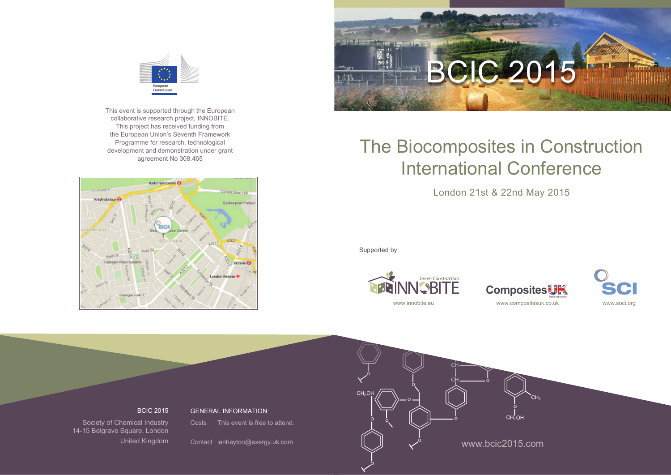

This event is supported through the European collaborative research project, INNOBITE. This project has received funding from the European Union's Seventh Framework Programme for research, technological development and demonstration under grant agreement No 308.465





# The Biocomposites in Construction International Conference

London 21st & 22nd May 2015

Supported by:







BCIC 2015

GENERAL INFORMATION

Society of Chemical Industry 14-15 Belgrave Square, London United Kingdom

Costs This event is free to attend.

Contact ianhayton@exergy.uk.com